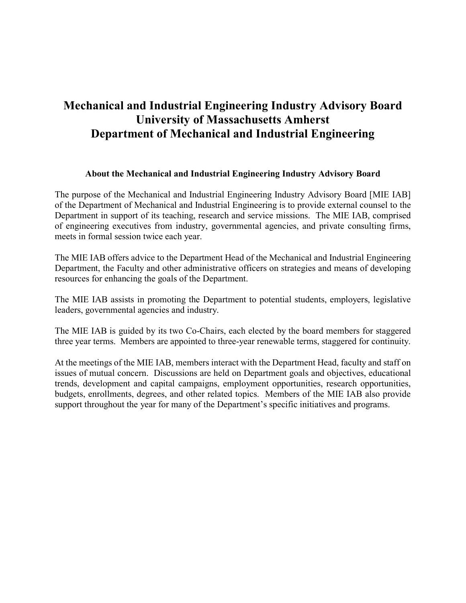# **Mechanical and Industrial Engineering Industry Advisory Board University of Massachusetts Amherst Department of Mechanical and Industrial Engineering**

#### **About the Mechanical and Industrial Engineering Industry Advisory Board**

The purpose of the Mechanical and Industrial Engineering Industry Advisory Board [MIE IAB] of the Department of Mechanical and Industrial Engineering is to provide external counsel to the Department in support of its teaching, research and service missions. The MIE IAB, comprised of engineering executives from industry, governmental agencies, and private consulting firms, meets in formal session twice each year.

The MIE IAB offers advice to the Department Head of the Mechanical and Industrial Engineering Department, the Faculty and other administrative officers on strategies and means of developing resources for enhancing the goals of the Department.

The MIE IAB assists in promoting the Department to potential students, employers, legislative leaders, governmental agencies and industry.

The MIE IAB is guided by its two Co-Chairs, each elected by the board members for staggered three year terms. Members are appointed to three-year renewable terms, staggered for continuity.

At the meetings of the MIE IAB, members interact with the Department Head, faculty and staff on issues of mutual concern. Discussions are held on Department goals and objectives, educational trends, development and capital campaigns, employment opportunities, research opportunities, budgets, enrollments, degrees, and other related topics. Members of the MIE IAB also provide support throughout the year for many of the Department's specific initiatives and programs.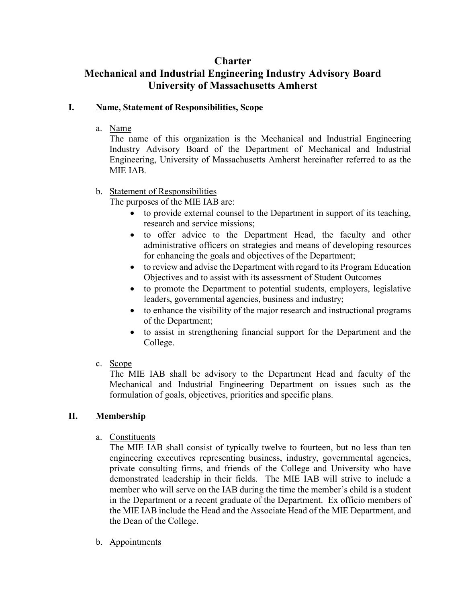### **Charter**

## **Mechanical and Industrial Engineering Industry Advisory Board University of Massachusetts Amherst**

#### **I. Name, Statement of Responsibilities, Scope**

a. Name

The name of this organization is the Mechanical and Industrial Engineering Industry Advisory Board of the Department of Mechanical and Industrial Engineering, University of Massachusetts Amherst hereinafter referred to as the MIE IAB.

b. Statement of Responsibilities

The purposes of the MIE IAB are:

- to provide external counsel to the Department in support of its teaching, research and service missions;
- to offer advice to the Department Head, the faculty and other administrative officers on strategies and means of developing resources for enhancing the goals and objectives of the Department;
- to review and advise the Department with regard to its Program Education Objectives and to assist with its assessment of Student Outcomes
- to promote the Department to potential students, employers, legislative leaders, governmental agencies, business and industry;
- to enhance the visibility of the major research and instructional programs of the Department;
- to assist in strengthening financial support for the Department and the College.
- c. Scope

The MIE IAB shall be advisory to the Department Head and faculty of the Mechanical and Industrial Engineering Department on issues such as the formulation of goals, objectives, priorities and specific plans.

### **II. Membership**

a. Constituents

The MIE IAB shall consist of typically twelve to fourteen, but no less than ten engineering executives representing business, industry, governmental agencies, private consulting firms, and friends of the College and University who have demonstrated leadership in their fields. The MIE IAB will strive to include a member who will serve on the IAB during the time the member's child is a student in the Department or a recent graduate of the Department. Ex officio members of the MIE IAB include the Head and the Associate Head of the MIE Department, and the Dean of the College.

b. Appointments